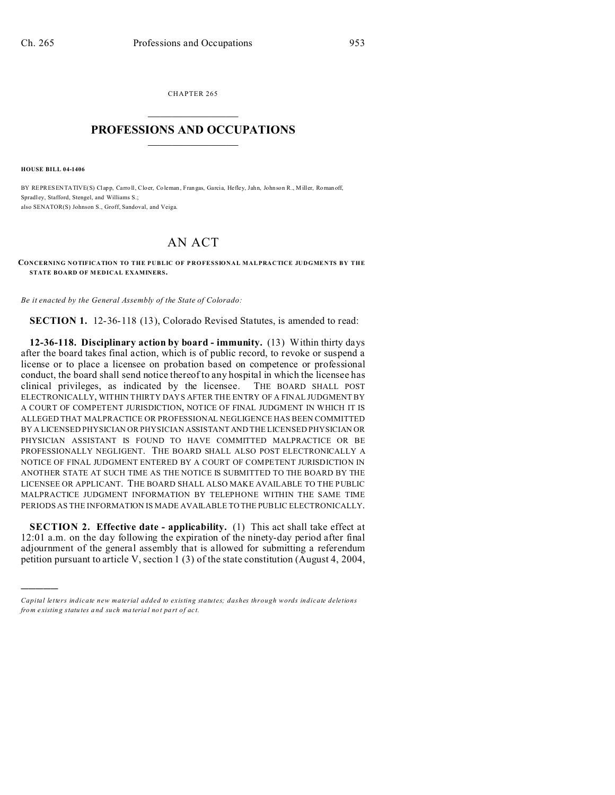CHAPTER 265  $\overline{\phantom{a}}$  , where  $\overline{\phantom{a}}$ 

## **PROFESSIONS AND OCCUPATIONS**  $\frac{1}{2}$  ,  $\frac{1}{2}$  ,  $\frac{1}{2}$  ,  $\frac{1}{2}$  ,  $\frac{1}{2}$  ,  $\frac{1}{2}$

**HOUSE BILL 04-1406**

)))))

BY REPRESENTATIVE(S) Clapp, Carro ll, Cloer, Coleman , Fran gas, Garcia, Hefley, Jahn, John son R., M iller, Roman off, Spradl ey, Stafford, Stengel, and Williams S.; also SENATOR(S) Johnson S., Groff, Sandoval, and Veiga.

## AN ACT

**CONCERNING NOTIFICATION TO THE PUBLIC OF PROFESSIONAL MALPRACTICE JUDGMENTS BY THE STATE BOARD OF MEDICAL EXAMINERS.** 

*Be it enacted by the General Assembly of the State of Colorado:*

**SECTION 1.** 12-36-118 (13), Colorado Revised Statutes, is amended to read:

**12-36-118. Disciplinary action by board - immunity.** (13) Within thirty days after the board takes final action, which is of public record, to revoke or suspend a license or to place a licensee on probation based on competence or professional conduct, the board shall send notice thereof to any hospital in which the licensee has clinical privileges, as indicated by the licensee. THE BOARD SHALL POST ELECTRONICALLY, WITHIN THIRTY DAYS AFTER THE ENTRY OF A FINAL JUDGMENT BY A COURT OF COMPETENT JURISDICTION, NOTICE OF FINAL JUDGMENT IN WHICH IT IS ALLEGED THAT MALPRACTICE OR PROFESSIONAL NEGLIGENCE HAS BEEN COMMITTED BY A LICENSED PHYSICIAN OR PHYSICIAN ASSISTANT AND THE LICENSED PHYSICIAN OR PHYSICIAN ASSISTANT IS FOUND TO HAVE COMMITTED MALPRACTICE OR BE PROFESSIONALLY NEGLIGENT. THE BOARD SHALL ALSO POST ELECTRONICALLY A NOTICE OF FINAL JUDGMENT ENTERED BY A COURT OF COMPETENT JURISDICTION IN ANOTHER STATE AT SUCH TIME AS THE NOTICE IS SUBMITTED TO THE BOARD BY THE LICENSEE OR APPLICANT. THE BOARD SHALL ALSO MAKE AVAILABLE TO THE PUBLIC MALPRACTICE JUDGMENT INFORMATION BY TELEPHONE WITHIN THE SAME TIME PERIODS AS THE INFORMATION IS MADE AVAILABLE TO THE PUBLIC ELECTRONICALLY.

**SECTION 2. Effective date - applicability.** (1) This act shall take effect at 12:01 a.m. on the day following the expiration of the ninety-day period after final adjournment of the general assembly that is allowed for submitting a referendum petition pursuant to article V, section 1 (3) of the state constitution (August 4, 2004,

*Capital letters indicate new material added to existing statutes; dashes through words indicate deletions from e xistin g statu tes a nd such ma teria l no t pa rt of ac t.*